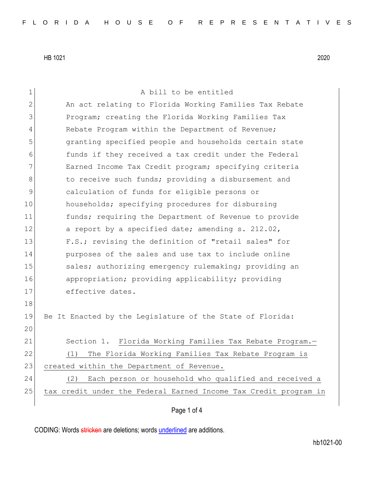1 a bill to be entitled 2 An act relating to Florida Working Families Tax Rebate 3 Program; creating the Florida Working Families Tax 4 Rebate Program within the Department of Revenue; 5 granting specified people and households certain state 6 6 funds if they received a tax credit under the Federal 7 Earned Income Tax Credit program; specifying criteria 8 b 6 to receive such funds; providing a disbursement and 9 calculation of funds for eligible persons or 10 households; specifying procedures for disbursing 11 funds; requiring the Department of Revenue to provide 12 a report by a specified date; amending s. 212.02, 13 F.S.; revising the definition of "retail sales" for 14 **purposes of the sales and use tax to include online** 15 sales; authorizing emergency rulemaking; providing an 16 appropriation; providing applicability; providing 17 effective dates. 18 19 Be It Enacted by the Legislature of the State of Florida: 20 21 Section 1. Florida Working Families Tax Rebate Program. 22 (1) The Florida Working Families Tax Rebate Program is 23 created within the Department of Revenue. 24 (2) Each person or household who qualified and received a 25 tax credit under the Federal Earned Income Tax Credit program in

## Page 1 of 4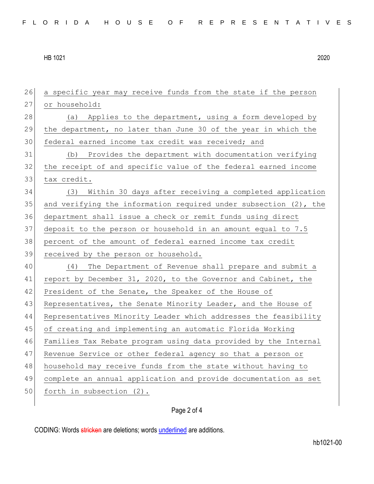a specific year may receive funds from the state if the person 27 or household: 28 (a) Applies to the department, using a form developed by the department, no later than June 30 of the year in which the federal earned income tax credit was received; and (b) Provides the department with documentation verifying the receipt of and specific value of the federal earned income 33 tax credit. (3) Within 30 days after receiving a completed application 35 and verifying the information required under subsection  $(2)$ , the department shall issue a check or remit funds using direct deposit to the person or household in an amount equal to 7.5 percent of the amount of federal earned income tax credit 39 received by the person or household. (4) The Department of Revenue shall prepare and submit a report by December 31, 2020, to the Governor and Cabinet, the 42 President of the Senate, the Speaker of the House of 43 Representatives, the Senate Minority Leader, and the House of Representatives Minority Leader which addresses the feasibility of creating and implementing an automatic Florida Working Families Tax Rebate program using data provided by the Internal 47 Revenue Service or other federal agency so that a person or household may receive funds from the state without having to complete an annual application and provide documentation as set 50 forth in subsection (2).

## Page 2 of 4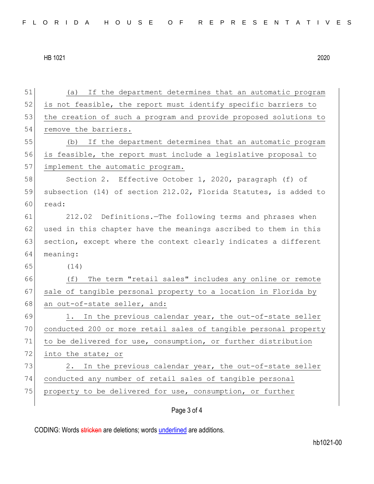51 (a) If the department determines that an automatic program 52 is not feasible, the report must identify specific barriers to 53 the creation of such a program and provide proposed solutions to 54 remove the barriers. 55 (b) If the department determines that an automatic program 56 is feasible, the report must include a legislative proposal to 57 implement the automatic program. 58 Section 2. Effective October 1, 2020, paragraph (f) of 59 subsection (14) of section 212.02, Florida Statutes, is added to 60 read: 61 212.02 Definitions.—The following terms and phrases when 62 used in this chapter have the meanings ascribed to them in this 63 section, except where the context clearly indicates a different 64 meaning: 65 (14) 66 (f) The term "retail sales" includes any online or remote 67 sale of tangible personal property to a location in Florida by 68 an out-of-state seller, and:  $69$  1. In the previous calendar year, the out-of-state seller 70 conducted 200 or more retail sales of tangible personal property 71 to be delivered for use, consumption, or further distribution 72 into the state; or 73 2. In the previous calendar year, the out-of-state seller 74 conducted any number of retail sales of tangible personal 75 property to be delivered for use, consumption, or further

Page 3 of 4